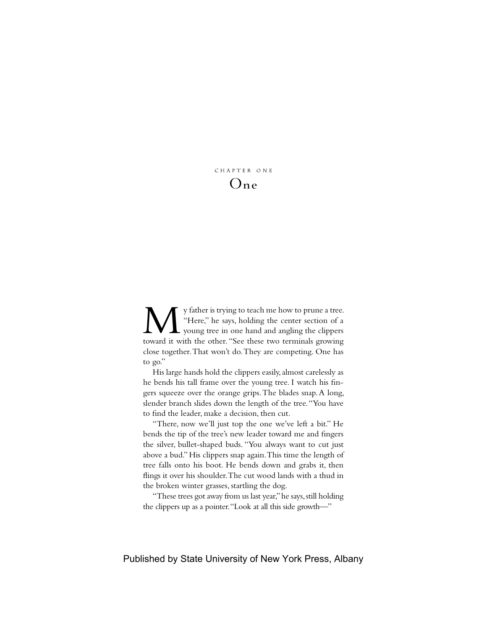## CHAPTER ONE

# $()_{ne}$

We y father is trying to teach me how to prune a tree.<br>
"Here," he says, holding the center section of a young tree in one hand and angling the clippers toward it with the other. "See these two terminals growing "Here," he says, holding the center section of a young tree in one hand and angling the clippers toward it with the other. "See these two terminals growing close together. That won't do. They are competing. One has to go."

 His large hands hold the clippers easily, almost carelessly as he bends his tall frame over the young tree. I watch his fingers squeeze over the orange grips. The blades snap. A long, slender branch slides down the length of the tree. "You have to find the leader, make a decision, then cut.

 "There, now we'll just top the one we've left a bit." He bends the tip of the tree's new leader toward me and fingers the silver, bullet-shaped buds. "You always want to cut just above a bud." His clippers snap again. This time the length of tree falls onto his boot. He bends down and grabs it, then flings it over his shoulder. The cut wood lands with a thud in the broken winter grasses, startling the dog.

 "These trees got away from us last year," he says, still holding the clippers up as a pointer. "Look at all this side growth—"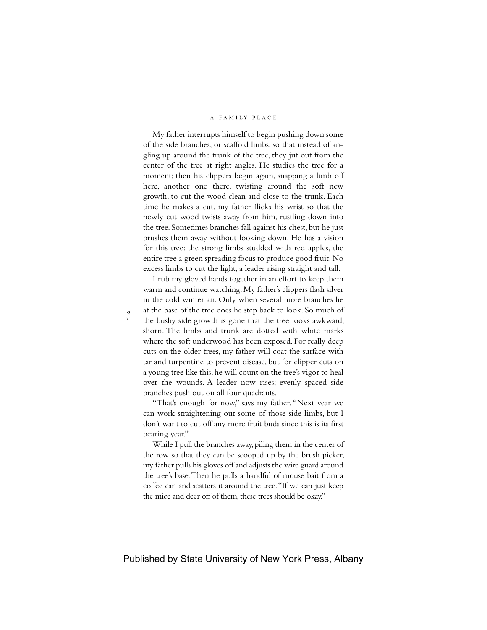### A FAMILY PLACE

 My father interrupts himself to begin pushing down some of the side branches, or scaffold limbs, so that instead of angling up around the trunk of the tree, they jut out from the center of the tree at right angles. He studies the tree for a moment; then his clippers begin again, snapping a limb off here, another one there, twisting around the soft new growth, to cut the wood clean and close to the trunk. Each time he makes a cut, my father flicks his wrist so that the newly cut wood twists away from him, rustling down into the tree. Sometimes branches fall against his chest, but he just brushes them away without looking down. He has a vision for this tree: the strong limbs studded with red apples, the entire tree a green spreading focus to produce good fruit. No excess limbs to cut the light, a leader rising straight and tall.

 I rub my gloved hands together in an effort to keep them warm and continue watching. My father's clippers flash silver in the cold winter air. Only when several more branches lie at the base of the tree does he step back to look. So much of the bushy side growth is gone that the tree looks awkward, shorn. The limbs and trunk are dotted with white marks where the soft underwood has been exposed. For really deep cuts on the older trees, my father will coat the surface with tar and turpentine to prevent disease, but for clipper cuts on a young tree like this, he will count on the tree's vigor to heal over the wounds. A leader now rises; evenly spaced side branches push out on all four quadrants.

 "That's enough for now," says my father. "Next year we can work straightening out some of those side limbs, but I don't want to cut off any more fruit buds since this is its first bearing year."

 While I pull the branches away, piling them in the center of the row so that they can be scooped up by the brush picker, my father pulls his gloves off and adjusts the wire guard around the tree's base. Then he pulls a handful of mouse bait from a coffee can and scatters it around the tree. "If we can just keep the mice and deer off of them, these trees should be okay."

] *2*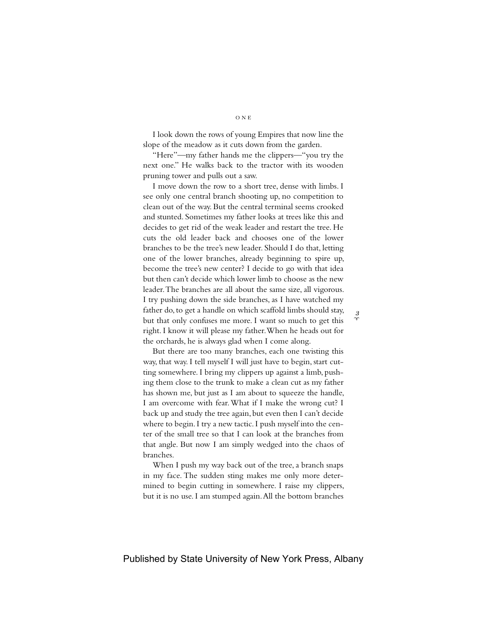### ONE

 I look down the rows of young Empires that now line the slope of the meadow as it cuts down from the garden.

 "Here"—my father hands me the clippers—"you try the next one." He walks back to the tractor with its wooden pruning tower and pulls out a saw.

 I move down the row to a short tree, dense with limbs. I see only one central branch shooting up, no competition to clean out of the way. But the central terminal seems crooked and stunted. Sometimes my father looks at trees like this and decides to get rid of the weak leader and restart the tree. He cuts the old leader back and chooses one of the lower branches to be the tree's new leader. Should I do that, letting one of the lower branches, already beginning to spire up, become the tree's new center? I decide to go with that idea but then can't decide which lower limb to choose as the new leader. The branches are all about the same size, all vigorous. I try pushing down the side branches, as I have watched my father do, to get a handle on which scaffold limbs should stay, but that only confuses me more. I want so much to get this right. I know it will please my father. When he heads out for the orchards, he is always glad when I come along.

 But there are too many branches, each one twisting this way, that way. I tell myself I will just have to begin, start cutting somewhere. I bring my clippers up against a limb, pushing them close to the trunk to make a clean cut as my father has shown me, but just as I am about to squeeze the handle, I am overcome with fear. What if I make the wrong cut? I back up and study the tree again, but even then I can't decide where to begin. I try a new tactic. I push myself into the center of the small tree so that I can look at the branches from that angle. But now I am simply wedged into the chaos of branches.

 When I push my way back out of the tree, a branch snaps in my face. The sudden sting makes me only more determined to begin cutting in somewhere. I raise my clippers, but it is no use. I am stumped again. All the bottom branches

 $\widetilde{\phantom{a}}$ *3*